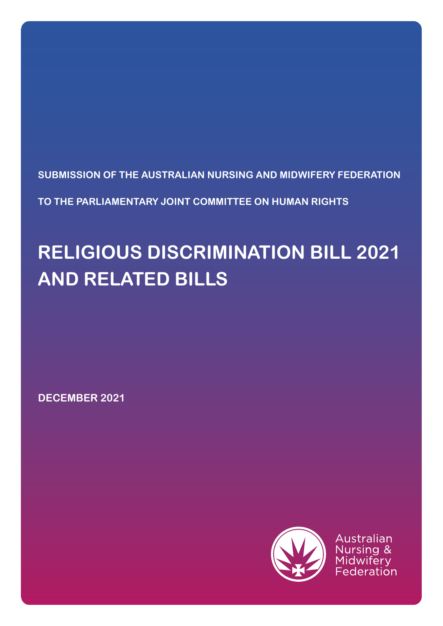**SUBMISSION OF THE AUSTRALIAN NURSING AND MIDWIFERY FEDERATION**

**TO THE PARLIAMENTARY JOINT COMMITTEE ON HUMAN RIGHTS**

# **RELIGIOUS DISCRIMINATION BILL 2021 AND RELATED BILLS**

**DECEMBER 2021**



Australian Nursing & Federation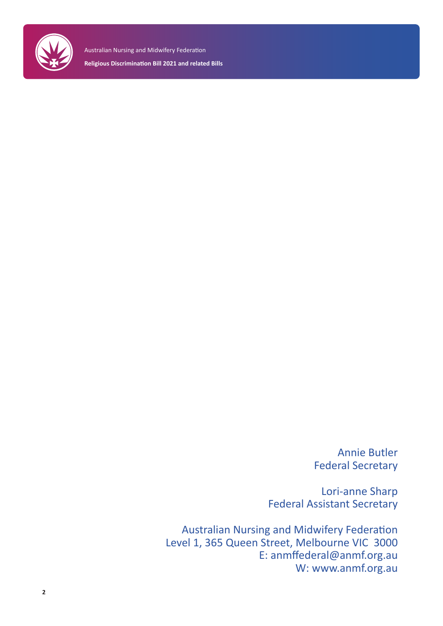

> Annie Butler Federal Secretary

Lori-anne Sharp Federal Assistant Secretary

Australian Nursing and Midwifery Federation Level 1, 365 Queen Street, Melbourne VIC 3000 E: anmffederal@anmf.org.au W: www.anmf.org.au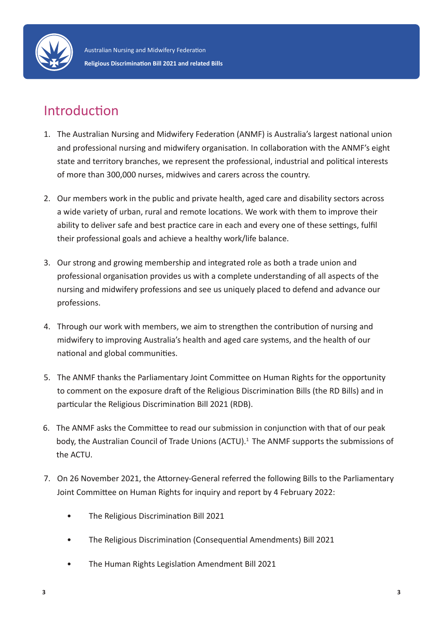

### Introduction

- 1. The Australian Nursing and Midwifery Federation (ANMF) is Australia's largest national union and professional nursing and midwifery organisation. In collaboration with the ANMF's eight state and territory branches, we represent the professional, industrial and political interests of more than 300,000 nurses, midwives and carers across the country.
- 2. Our members work in the public and private health, aged care and disability sectors across a wide variety of urban, rural and remote locations. We work with them to improve their ability to deliver safe and best practice care in each and every one of these settings, fulfil their professional goals and achieve a healthy work/life balance.
- 3. Our strong and growing membership and integrated role as both a trade union and professional organisation provides us with a complete understanding of all aspects of the nursing and midwifery professions and see us uniquely placed to defend and advance our professions.
- 4. Through our work with members, we aim to strengthen the contribution of nursing and midwifery to improving Australia's health and aged care systems, and the health of our national and global communities.
- 5. The ANMF thanks the Parliamentary Joint Committee on Human Rights for the opportunity to comment on the exposure draft of the Religious Discrimination Bills (the RD Bills) and in particular the Religious Discrimination Bill 2021 (RDB).
- 6. The ANMF asks the Committee to read our submission in conjunction with that of our peak body, the Australian Council of Trade Unions (ACTU).<sup>1</sup> The ANMF supports the submissions of the ACTU.
- 7. On 26 November 2021, the Attorney-General referred the following Bills to the Parliamentary Joint Committee on Human Rights for inquiry and report by 4 February 2022:
	- The Religious Discrimination Bill 2021
	- The Religious Discrimination (Consequential Amendments) Bill 2021
	- The Human Rights Legislation Amendment Bill 2021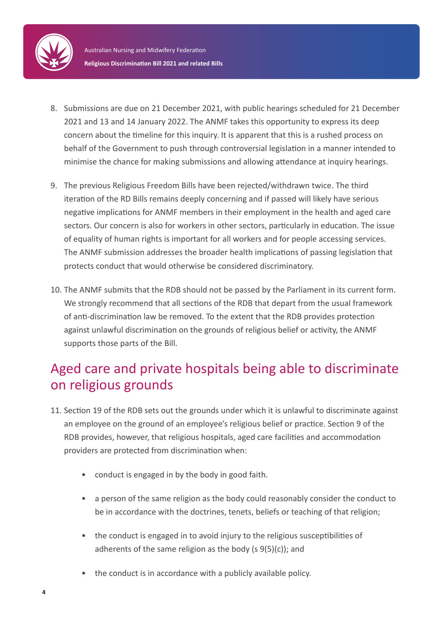

- 8. Submissions are due on 21 December 2021, with public hearings scheduled for 21 December 2021 and 13 and 14 January 2022. The ANMF takes this opportunity to express its deep concern about the timeline for this inquiry. It is apparent that this is a rushed process on behalf of the Government to push through controversial legislation in a manner intended to minimise the chance for making submissions and allowing attendance at inquiry hearings.
- 9. The previous Religious Freedom Bills have been rejected/withdrawn twice. The third iteration of the RD Bills remains deeply concerning and if passed will likely have serious negative implications for ANMF members in their employment in the health and aged care sectors. Our concern is also for workers in other sectors, particularly in education. The issue of equality of human rights is important for all workers and for people accessing services. The ANMF submission addresses the broader health implications of passing legislation that protects conduct that would otherwise be considered discriminatory.
- 10. The ANMF submits that the RDB should not be passed by the Parliament in its current form. We strongly recommend that all sections of the RDB that depart from the usual framework of anti-discrimination law be removed. To the extent that the RDB provides protection against unlawful discrimination on the grounds of religious belief or activity, the ANMF supports those parts of the Bill.

### Aged care and private hospitals being able to discriminate on religious grounds

- 11. Section 19 of the RDB sets out the grounds under which it is unlawful to discriminate against an employee on the ground of an employee's religious belief or practice. Section 9 of the RDB provides, however, that religious hospitals, aged care facilities and accommodation providers are protected from discrimination when:
	- conduct is engaged in by the body in good faith.
	- a person of the same religion as the body could reasonably consider the conduct to be in accordance with the doctrines, tenets, beliefs or teaching of that religion;
	- the conduct is engaged in to avoid injury to the religious susceptibilities of adherents of the same religion as the body (s 9(5)(c)); and
	- the conduct is in accordance with a publicly available policy.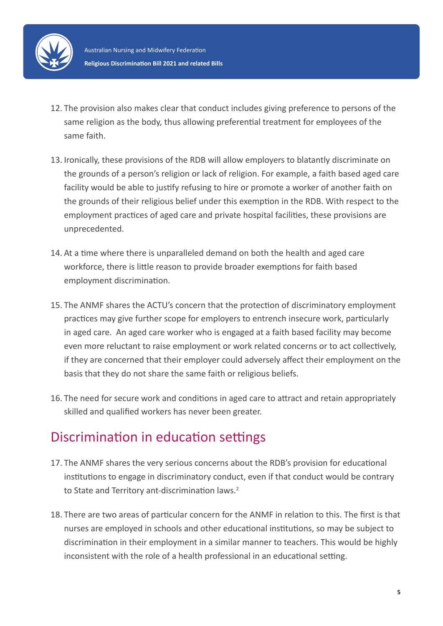

- 12. The provision also makes clear that conduct includes giving preference to persons of the same religion as the body, thus allowing preferential treatment for employees of the same faith.
- 13. Ironically, these provisions of the RDB will allow employers to blatantly discriminate on the grounds of a person's religion or lack of religion. For example, a faith based aged care facility would be able to justify refusing to hire or promote a worker of another faith on the grounds of their religious belief under this exemption in the RDB. With respect to the employment practices of aged care and private hospital facilities, these provisions are unprecedented.
- 14. At a time where there is unparalleled demand on both the health and aged care workforce, there is little reason to provide broader exemptions for faith based employment discrimination.
- 15. The ANMF shares the ACTU's concern that the protection of discriminatory employment practices may give further scope for employers to entrench insecure work, particularly in aged care. An aged care worker who is engaged at a faith based facility may become even more reluctant to raise employment or work related concerns or to act collectively, if they are concerned that their employer could adversely affect their employment on the basis that they do not share the same faith or religious beliefs.
- 16. The need for secure work and conditions in aged care to attract and retain appropriately skilled and qualified workers has never been greater.

### Discrimination in education settings

- 17. The ANMF shares the very serious concerns about the RDB's provision for educational institutions to engage in discriminatory conduct, even if that conduct would be contrary to State and Territory ant-discrimination laws.<sup>2</sup>
- 18. There are two areas of particular concern for the ANMF in relation to this. The first is that nurses are employed in schools and other educational institutions, so may be subject to discrimination in their employment in a similar manner to teachers. This would be highly inconsistent with the role of a health professional in an educational setting.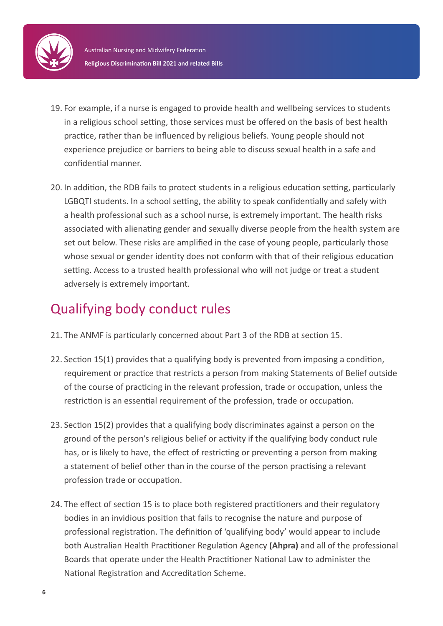

- 19. For example, if a nurse is engaged to provide health and wellbeing services to students in a religious school setting, those services must be offered on the basis of best health practice, rather than be influenced by religious beliefs. Young people should not experience prejudice or barriers to being able to discuss sexual health in a safe and confidential manner.
- 20. In addition, the RDB fails to protect students in a religious education setting, particularly LGBQTI students. In a school setting, the ability to speak confidentially and safely with a health professional such as a school nurse, is extremely important. The health risks associated with alienating gender and sexually diverse people from the health system are set out below. These risks are amplified in the case of young people, particularly those whose sexual or gender identity does not conform with that of their religious education setting. Access to a trusted health professional who will not judge or treat a student adversely is extremely important.

### Qualifying body conduct rules

- 21. The ANMF is particularly concerned about Part 3 of the RDB at section 15.
- 22. Section 15(1) provides that a qualifying body is prevented from imposing a condition, requirement or practice that restricts a person from making Statements of Belief outside of the course of practicing in the relevant profession, trade or occupation, unless the restriction is an essential requirement of the profession, trade or occupation.
- 23. Section 15(2) provides that a qualifying body discriminates against a person on the ground of the person's religious belief or activity if the qualifying body conduct rule has, or is likely to have, the effect of restricting or preventing a person from making a statement of belief other than in the course of the person practising a relevant profession trade or occupation.
- 24. The effect of section 15 is to place both registered practitioners and their regulatory bodies in an invidious position that fails to recognise the nature and purpose of professional registration. The definition of 'qualifying body' would appear to include both Australian Health Practitioner Regulation Agency **(Ahpra)** and all of the professional Boards that operate under the Health Practitioner National Law to administer the National Registration and Accreditation Scheme.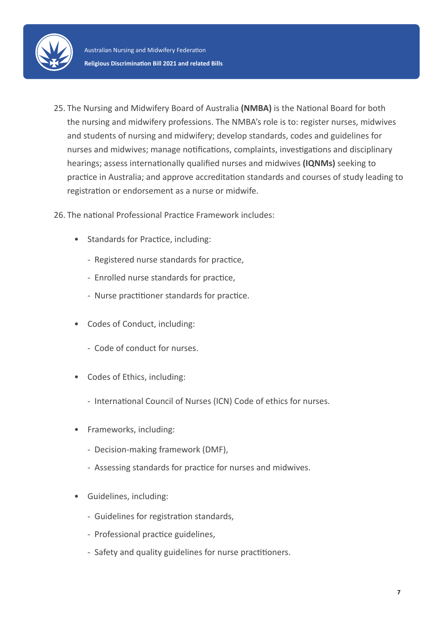

25. The Nursing and Midwifery Board of Australia **(NMBA)** is the National Board for both the nursing and midwifery professions. The NMBA's role is to: register nurses, midwives and students of nursing and midwifery; develop standards, codes and guidelines for nurses and midwives; manage notifications, complaints, investigations and disciplinary hearings; assess internationally qualified nurses and midwives **(IQNMs)** seeking to practice in Australia; and approve accreditation standards and courses of study leading to registration or endorsement as a nurse or midwife.

26. The national Professional Practice Framework includes:

- Standards for Practice, including:
	- Registered nurse standards for practice,
	- Enrolled nurse standards for practice,
	- Nurse practitioner standards for practice.
- Codes of Conduct, including:
	- Code of conduct for nurses.
- Codes of Ethics, including:
	- International Council of Nurses (ICN) Code of ethics for nurses.
- Frameworks, including:
	- Decision-making framework (DMF),
	- Assessing standards for practice for nurses and midwives.
- Guidelines, including:
	- Guidelines for registration standards,
	- Professional practice guidelines,
	- Safety and quality guidelines for nurse practitioners.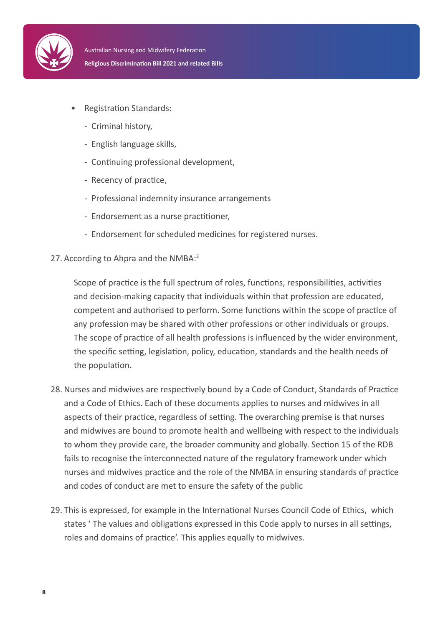

- Registration Standards:
	- Criminal history,
	- English language skills,
	- Continuing professional development,
	- Recency of practice,
	- Professional indemnity insurance arrangements
	- Endorsement as a nurse practitioner,
	- Endorsement for scheduled medicines for registered nurses.
- 27. According to Ahpra and the NMBA:<sup>3</sup>

Scope of practice is the full spectrum of roles, functions, responsibilities, activities and decision-making capacity that individuals within that profession are educated, competent and authorised to perform. Some functions within the scope of practice of any profession may be shared with other professions or other individuals or groups. The scope of practice of all health professions is influenced by the wider environment, the specific setting, legislation, policy, education, standards and the health needs of the population.

- 28. Nurses and midwives are respectively bound by a Code of Conduct, Standards of Practice and a Code of Ethics. Each of these documents applies to nurses and midwives in all aspects of their practice, regardless of setting. The overarching premise is that nurses and midwives are bound to promote health and wellbeing with respect to the individuals to whom they provide care, the broader community and globally. Section 15 of the RDB fails to recognise the interconnected nature of the regulatory framework under which nurses and midwives practice and the role of the NMBA in ensuring standards of practice and codes of conduct are met to ensure the safety of the public
- 29. This is expressed, for example in the International Nurses Council Code of Ethics, which states ' The values and obligations expressed in this Code apply to nurses in all settings, roles and domains of practice'. This applies equally to midwives.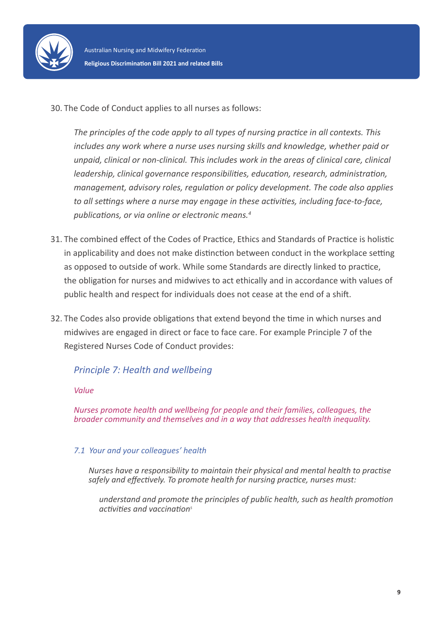

30. The Code of Conduct applies to all nurses as follows:

*The principles of the code apply to all types of nursing practice in all contexts. This includes any work where a nurse uses nursing skills and knowledge, whether paid or unpaid, clinical or non-clinical. This includes work in the areas of clinical care, clinical leadership, clinical governance responsibilities, education, research, administration, management, advisory roles, regulation or policy development. The code also applies to all settings where a nurse may engage in these activities, including face-to-face, publications, or via online or electronic means.<sup>4</sup>* 

- 31. The combined effect of the Codes of Practice, Ethics and Standards of Practice is holistic in applicability and does not make distinction between conduct in the workplace setting as opposed to outside of work. While some Standards are directly linked to practice, the obligation for nurses and midwives to act ethically and in accordance with values of public health and respect for individuals does not cease at the end of a shift.
- 32. The Codes also provide obligations that extend beyond the time in which nurses and midwives are engaged in direct or face to face care. For example Principle 7 of the Registered Nurses Code of Conduct provides:

#### *Principle 7: Health and wellbeing*

*Value*

*Nurses promote health and wellbeing for people and their families, colleagues, the broader community and themselves and in a way that addresses health inequality.*

#### *7.1 Your and your colleagues' health*

*Nurses have a responsibility to maintain their physical and mental health to practise safely and effectively. To promote health for nursing practice, nurses must:*

*understand and promote the principles of public health, such as health promotion activities and vaccination5*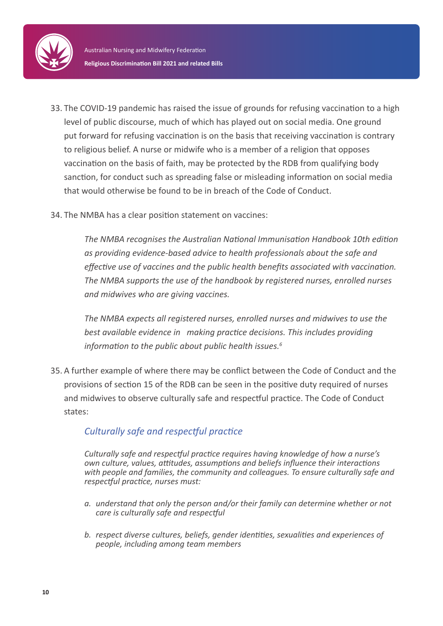

- 33. The COVID-19 pandemic has raised the issue of grounds for refusing vaccination to a high level of public discourse, much of which has played out on social media. One ground put forward for refusing vaccination is on the basis that receiving vaccination is contrary to religious belief. A nurse or midwife who is a member of a religion that opposes vaccination on the basis of faith, may be protected by the RDB from qualifying body sanction, for conduct such as spreading false or misleading information on social media that would otherwise be found to be in breach of the Code of Conduct.
- 34. The NMBA has a clear position statement on vaccines:

*The NMBA recognises the Australian National Immunisation Handbook 10th edition as providing evidence-based advice to health professionals about the safe and effective use of vaccines and the public health benefits associated with vaccination. The NMBA supports the use of the handbook by registered nurses, enrolled nurses and midwives who are giving vaccines.*

*The NMBA expects all registered nurses, enrolled nurses and midwives to use the best available evidence in making practice decisions. This includes providing information to the public about public health issues.<sup>6</sup>*

35. A further example of where there may be conflict between the Code of Conduct and the provisions of section 15 of the RDB can be seen in the positive duty required of nurses and midwives to observe culturally safe and respectful practice. The Code of Conduct states:

#### *Culturally safe and respectful practice*

*Culturally safe and respectful practice requires having knowledge of how a nurse's own culture, values, attitudes, assumptions and beliefs influence their interactions with people and families, the community and colleagues. To ensure culturally safe and respectful practice, nurses must:*

- *a. understand that only the person and/or their family can determine whether or not care is culturally safe and respectful*
- *b. respect diverse cultures, beliefs, gender identities, sexualities and experiences of people, including among team members*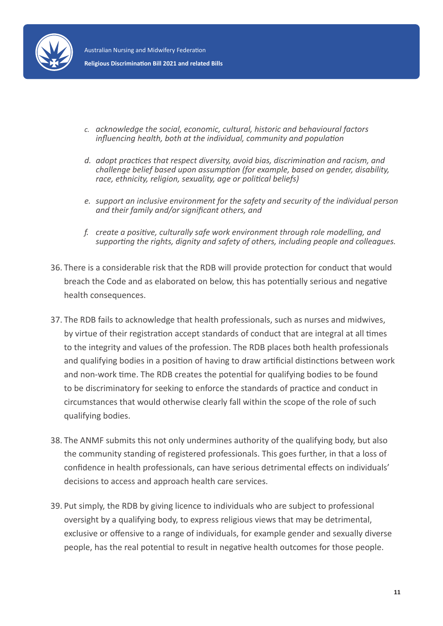

- *c. acknowledge the social, economic, cultural, historic and behavioural factors influencing health, both at the individual, community and population*
- *d. adopt practices that respect diversity, avoid bias, discrimination and racism, and challenge belief based upon assumption (for example, based on gender, disability, race, ethnicity, religion, sexuality, age or political beliefs)*
- *e. support an inclusive environment for the safety and security of the individual person and their family and/or significant others, and*
- *f. create a positive, culturally safe work environment through role modelling, and supporting the rights, dignity and safety of others, including people and colleagues.*
- 36. There is a considerable risk that the RDB will provide protection for conduct that would breach the Code and as elaborated on below, this has potentially serious and negative health consequences.
- 37. The RDB fails to acknowledge that health professionals, such as nurses and midwives, by virtue of their registration accept standards of conduct that are integral at all times to the integrity and values of the profession. The RDB places both health professionals and qualifying bodies in a position of having to draw artificial distinctions between work and non-work time. The RDB creates the potential for qualifying bodies to be found to be discriminatory for seeking to enforce the standards of practice and conduct in circumstances that would otherwise clearly fall within the scope of the role of such qualifying bodies.
- 38. The ANMF submits this not only undermines authority of the qualifying body, but also the community standing of registered professionals. This goes further, in that a loss of confidence in health professionals, can have serious detrimental effects on individuals' decisions to access and approach health care services.
- 39. Put simply, the RDB by giving licence to individuals who are subject to professional oversight by a qualifying body, to express religious views that may be detrimental, exclusive or offensive to a range of individuals, for example gender and sexually diverse people, has the real potential to result in negative health outcomes for those people.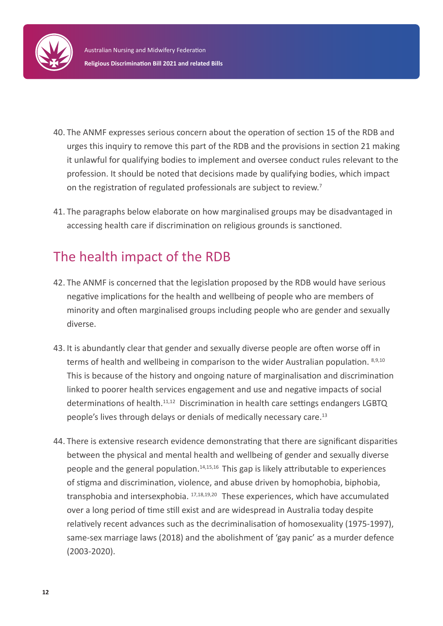

- 40. The ANMF expresses serious concern about the operation of section 15 of the RDB and urges this inquiry to remove this part of the RDB and the provisions in section 21 making it unlawful for qualifying bodies to implement and oversee conduct rules relevant to the profession. It should be noted that decisions made by qualifying bodies, which impact on the registration of regulated professionals are subject to review.<sup>7</sup>
- 41. The paragraphs below elaborate on how marginalised groups may be disadvantaged in accessing health care if discrimination on religious grounds is sanctioned.

### The health impact of the RDB

- 42. The ANMF is concerned that the legislation proposed by the RDB would have serious negative implications for the health and wellbeing of people who are members of minority and often marginalised groups including people who are gender and sexually diverse.
- 43. It is abundantly clear that gender and sexually diverse people are often worse off in terms of health and wellbeing in comparison to the wider Australian population. 8,9,10 This is because of the history and ongoing nature of marginalisation and discrimination linked to poorer health services engagement and use and negative impacts of social determinations of health.<sup>11,12</sup> Discrimination in health care settings endangers LGBTQ people's lives through delays or denials of medically necessary care.<sup>13</sup>
- 44. There is extensive research evidence demonstrating that there are significant disparities between the physical and mental health and wellbeing of gender and sexually diverse people and the general population.<sup>14,15,16</sup> This gap is likely attributable to experiences of stigma and discrimination, violence, and abuse driven by homophobia, biphobia, transphobia and intersexphobia. 17,18,19,20 These experiences, which have accumulated over a long period of time still exist and are widespread in Australia today despite relatively recent advances such as the decriminalisation of homosexuality (1975-1997), same-sex marriage laws (2018) and the abolishment of 'gay panic' as a murder defence (2003-2020).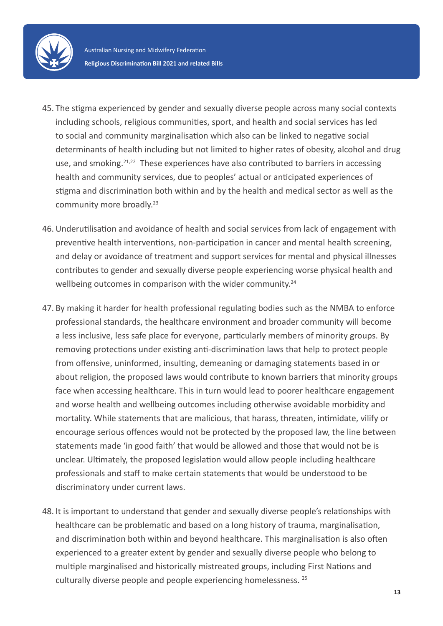

- 45. The stigma experienced by gender and sexually diverse people across many social contexts including schools, religious communities, sport, and health and social services has led to social and community marginalisation which also can be linked to negative social determinants of health including but not limited to higher rates of obesity, alcohol and drug use, and smoking.<sup>21,22</sup> These experiences have also contributed to barriers in accessing health and community services, due to peoples' actual or anticipated experiences of stigma and discrimination both within and by the health and medical sector as well as the community more broadly.<sup>23</sup>
- 46. Underutilisation and avoidance of health and social services from lack of engagement with preventive health interventions, non-participation in cancer and mental health screening, and delay or avoidance of treatment and support services for mental and physical illnesses contributes to gender and sexually diverse people experiencing worse physical health and wellbeing outcomes in comparison with the wider community.<sup>24</sup>
- 47. By making it harder for health professional regulating bodies such as the NMBA to enforce professional standards, the healthcare environment and broader community will become a less inclusive, less safe place for everyone, particularly members of minority groups. By removing protections under existing anti-discrimination laws that help to protect people from offensive, uninformed, insulting, demeaning or damaging statements based in or about religion, the proposed laws would contribute to known barriers that minority groups face when accessing healthcare. This in turn would lead to poorer healthcare engagement and worse health and wellbeing outcomes including otherwise avoidable morbidity and mortality. While statements that are malicious, that harass, threaten, intimidate, vilify or encourage serious offences would not be protected by the proposed law, the line between statements made 'in good faith' that would be allowed and those that would not be is unclear. Ultimately, the proposed legislation would allow people including healthcare professionals and staff to make certain statements that would be understood to be discriminatory under current laws.
- 48. It is important to understand that gender and sexually diverse people's relationships with healthcare can be problematic and based on a long history of trauma, marginalisation, and discrimination both within and beyond healthcare. This marginalisation is also often experienced to a greater extent by gender and sexually diverse people who belong to multiple marginalised and historically mistreated groups, including First Nations and culturally diverse people and people experiencing homelessness. 25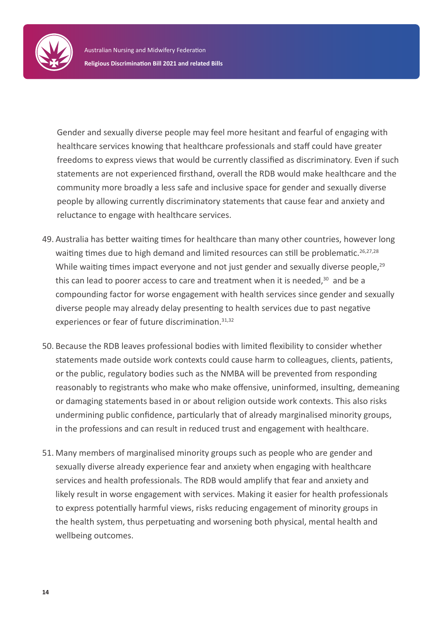

Gender and sexually diverse people may feel more hesitant and fearful of engaging with healthcare services knowing that healthcare professionals and staff could have greater freedoms to express views that would be currently classified as discriminatory. Even if such statements are not experienced firsthand, overall the RDB would make healthcare and the community more broadly a less safe and inclusive space for gender and sexually diverse people by allowing currently discriminatory statements that cause fear and anxiety and reluctance to engage with healthcare services.

- 49. Australia has better waiting times for healthcare than many other countries, however long waiting times due to high demand and limited resources can still be problematic.<sup>26,27,28</sup> While waiting times impact everyone and not just gender and sexually diverse people,<sup>29</sup> this can lead to poorer access to care and treatment when it is needed, $30$  and be a compounding factor for worse engagement with health services since gender and sexually diverse people may already delay presenting to health services due to past negative experiences or fear of future discrimination.<sup>31,32</sup>
- 50. Because the RDB leaves professional bodies with limited flexibility to consider whether statements made outside work contexts could cause harm to colleagues, clients, patients, or the public, regulatory bodies such as the NMBA will be prevented from responding reasonably to registrants who make who make offensive, uninformed, insulting, demeaning or damaging statements based in or about religion outside work contexts. This also risks undermining public confidence, particularly that of already marginalised minority groups, in the professions and can result in reduced trust and engagement with healthcare.
- 51. Many members of marginalised minority groups such as people who are gender and sexually diverse already experience fear and anxiety when engaging with healthcare services and health professionals. The RDB would amplify that fear and anxiety and likely result in worse engagement with services. Making it easier for health professionals to express potentially harmful views, risks reducing engagement of minority groups in the health system, thus perpetuating and worsening both physical, mental health and wellbeing outcomes.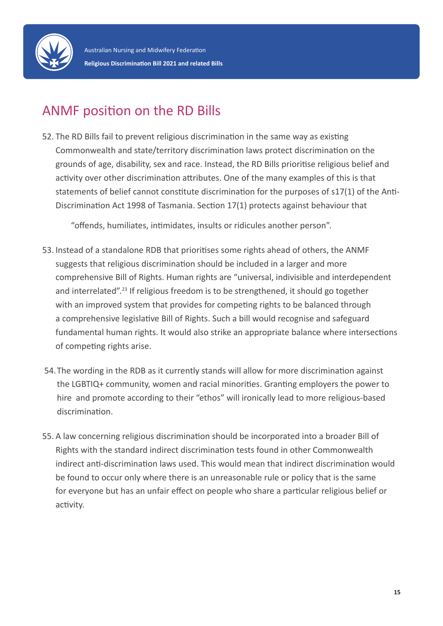

## ANMF position on the RD Bills

52. The RD Bills fail to prevent religious discrimination in the same way as existing Commonwealth and state/territory discrimination laws protect discrimination on the grounds of age, disability, sex and race. Instead, the RD Bills prioritise religious belief and activity over other discrimination attributes. One of the many examples of this is that statements of belief cannot constitute discrimination for the purposes of s17(1) of the Anti-Discrimination Act 1998 of Tasmania. Section 17(1) protects against behaviour that

"offends, humiliates, intimidates, insults or ridicules another person".

- 53. Instead of a standalone RDB that prioritises some rights ahead of others, the ANMF suggests that religious discrimination should be included in a larger and more comprehensive Bill of Rights. Human rights are "universal, indivisible and interdependent and interrelated".<sup>23</sup> If religious freedom is to be strengthened, it should go together with an improved system that provides for competing rights to be balanced through a comprehensive legislative Bill of Rights. Such a bill would recognise and safeguard fundamental human rights. It would also strike an appropriate balance where intersections of competing rights arise.
- 54.The wording in the RDB as it currently stands will allow for more discrimination against the LGBTIQ+ community, women and racial minorities. Granting employers the power to hire and promote according to their "ethos" will ironically lead to more religious-based discrimination.
- 55. A law concerning religious discrimination should be incorporated into a broader Bill of Rights with the standard indirect discrimination tests found in other Commonwealth indirect anti-discrimination laws used. This would mean that indirect discrimination would be found to occur only where there is an unreasonable rule or policy that is the same for everyone but has an unfair effect on people who share a particular religious belief or activity.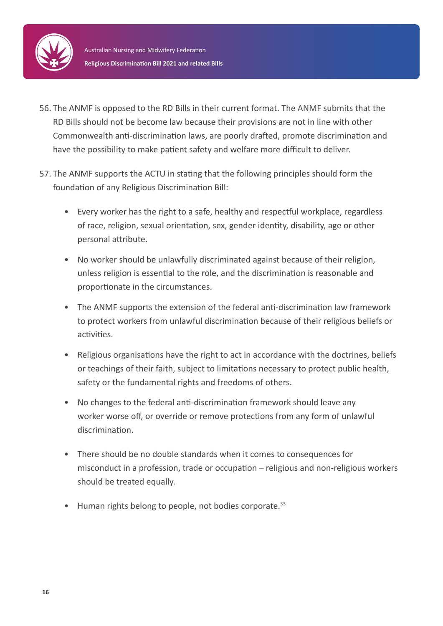

- 56. The ANMF is opposed to the RD Bills in their current format. The ANMF submits that the RD Bills should not be become law because their provisions are not in line with other Commonwealth anti-discrimination laws, are poorly drafted, promote discrimination and have the possibility to make patient safety and welfare more difficult to deliver.
- 57. The ANMF supports the ACTU in stating that the following principles should form the foundation of any Religious Discrimination Bill:
	- Every worker has the right to a safe, healthy and respectful workplace, regardless of race, religion, sexual orientation, sex, gender identity, disability, age or other personal attribute.
	- No worker should be unlawfully discriminated against because of their religion, unless religion is essential to the role, and the discrimination is reasonable and proportionate in the circumstances.
	- The ANMF supports the extension of the federal anti-discrimination law framework to protect workers from unlawful discrimination because of their religious beliefs or activities.
	- Religious organisations have the right to act in accordance with the doctrines, beliefs or teachings of their faith, subject to limitations necessary to protect public health, safety or the fundamental rights and freedoms of others.
	- No changes to the federal anti-discrimination framework should leave any worker worse off, or override or remove protections from any form of unlawful discrimination.
	- There should be no double standards when it comes to consequences for misconduct in a profession, trade or occupation – religious and non-religious workers should be treated equally.
	- Human rights belong to people, not bodies corporate.<sup>33</sup>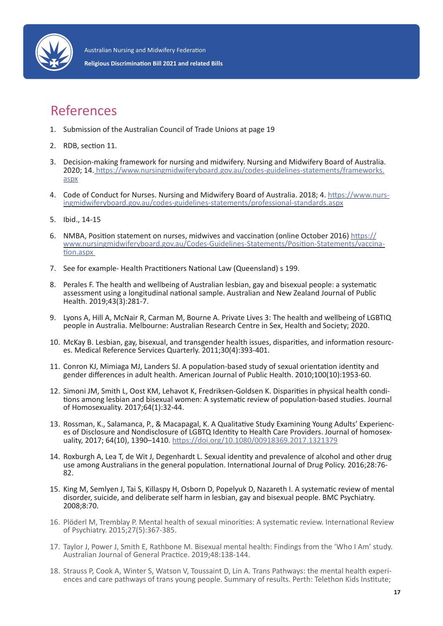

### References

- 1. Submission of the Australian Council of Trade Unions at page 19
- 2. RDB, section 11.
- 3. Decision-making framework for nursing and midwifery. Nursing and Midwifery Board of Australia. 2020; 14. https://www.nursingmidwiferyboard.gov.au/codes-guidelines-statements/frameworks. aspx
- 4. Code of Conduct for Nurses. Nursing and Midwifery Board of Australia. 2018; 4. https://www.nursingmidwiferyboard.gov.au/codes-guidelines-statements/professional-standards.aspx
- 5. Ibid., 14-15
- 6. NMBA, Position statement on nurses, midwives and vaccination (online October 2016) https:// www.nursingmidwiferyboard.gov.au/Codes-Guidelines-Statements/Position-Statements/vaccination.aspx
- 7. See for example- Health Practitioners National Law (Queensland) s 199.
- 8. Perales F. The health and wellbeing of Australian lesbian, gay and bisexual people: a systematic assessment using a longitudinal national sample. Australian and New Zealand Journal of Public Health. 2019;43(3):281-7.
- 9. Lyons A, Hill A, McNair R, Carman M, Bourne A. Private Lives 3: The health and wellbeing of LGBTIQ people in Australia. Melbourne: Australian Research Centre in Sex, Health and Society; 2020.
- 10. McKay B. Lesbian, gay, bisexual, and transgender health issues, disparities, and information resources. Medical Reference Services Quarterly. 2011;30(4):393-401.
- 11. Conron KJ, Mimiaga MJ, Landers SJ. A population-based study of sexual orientation identity and gender differences in adult health. American Journal of Public Health. 2010;100(10):1953-60.
- 12. Simoni JM, Smith L, Oost KM, Lehavot K, Fredriksen-Goldsen K. Disparities in physical health conditions among lesbian and bisexual women: A systematic review of population-based studies. Journal of Homosexuality. 2017;64(1):32-44.
- 13. Rossman, K., Salamanca, P., & Macapagal, K. A Qualitative Study Examining Young Adults' Experiences of Disclosure and Nondisclosure of LGBTQ Identity to Health Care Providers. Journal of homosexuality, 2017; 64(10), 1390–1410. https://doi.org/10.1080/00918369.2017.1321379
- 14. Roxburgh A, Lea T, de Wit J, Degenhardt L. Sexual identity and prevalence of alcohol and other drug use among Australians in the general population. International Journal of Drug Policy. 2016;28:76- 82.
- 15. King M, Semlyen J, Tai S, Killaspy H, Osborn D, Popelyuk D, Nazareth I. A systematic review of mental disorder, suicide, and deliberate self harm in lesbian, gay and bisexual people. BMC Psychiatry. 2008;8:70.
- 16. Plöderl M, Tremblay P. Mental health of sexual minorities: A systematic review. International Review of Psychiatry. 2015;27(5):367-385.
- 17. Taylor J, Power J, Smith E, Rathbone M. Bisexual mental health: Findings from the 'Who I Am' study. Australian Journal of General Practice. 2019;48:138-144.
- 18. Strauss P, Cook A, Winter S, Watson V, Toussaint D, Lin A. Trans Pathways: the mental health experi- ences and care pathways of trans young people. Summary of results. Perth: Telethon Kids Institute;